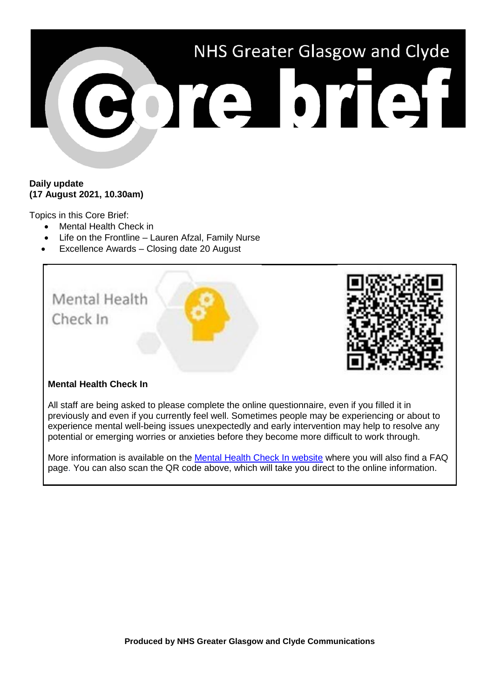

## **Daily update (17 August 2021, 10.30am)**

Topics in this Core Brief:

- Mental Health Check in
- Life on the Frontline Lauren Afzal, Family Nurse
- Excellence Awards Closing date 20 August



## **Mental Health Check In**

All staff are being asked to please complete the online questionnaire, even if you filled it in previously and even if you currently feel well. Sometimes people may be experiencing or about to experience mental well-being issues unexpectedly and early intervention may help to resolve any potential or emerging worries or anxieties before they become more difficult to work through.

More information is available on the [Mental Health Check In website](https://www.nhsggc.org.uk/about-us/professional-support-sites/mental-health-check-in/) where you will also find a FAQ page. You can also scan the QR code above, which will take you direct to the online information.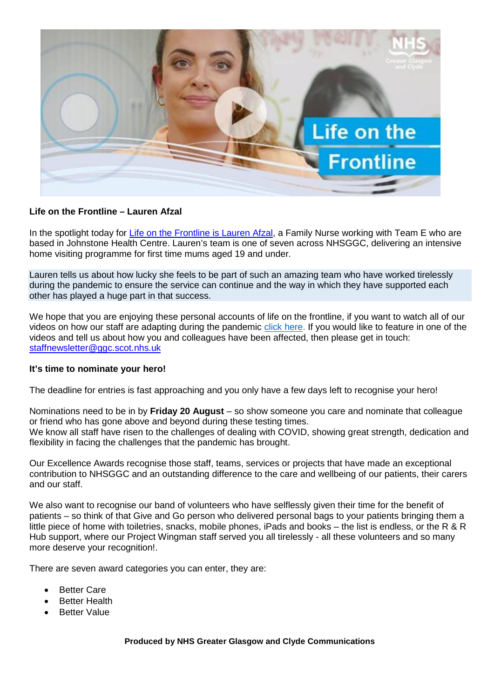

## **Life on the Frontline – Lauren Afzal**

In the spotlight today for [Life on the Frontline is](https://www.youtube.com/watch?v=S-df8Bhlz7I) Lauren Afzal, a Family Nurse working with Team E who are based in Johnstone Health Centre. Lauren's team is one of seven across NHSGGC, delivering an intensive home visiting programme for first time mums aged 19 and under.

Lauren tells us about how lucky she feels to be part of such an amazing team who have worked tirelessly during the pandemic to ensure the service can continue and the way in which they have supported each other has played a huge part in that success.

We hope that you are enjoying these personal accounts of life on the frontline, if you want to watch all of our videos on how our staff are adapting during the pandemic [click here.](https://www.nhsggc.org.uk/your-health/health-issues/covid-19-coronavirus/life-on-the-frontline/) If you would like to feature in one of the videos and tell us about how you and colleagues have been affected, then please get in touch: [staffnewsletter@ggc.scot.nhs.uk](mailto:staffnewsletter@ggc.scot.nhs.uk)

## **It's time to nominate your hero!**

The deadline for entries is fast approaching and you only have a few days left to recognise your hero!

Nominations need to be in by **Friday 20 August** – so show someone you care and nominate that colleague or friend who has gone above and beyond during these testing times. We know all staff have risen to the challenges of dealing with COVID, showing great strength, dedication and flexibility in facing the challenges that the pandemic has brought.

Our Excellence Awards recognise those staff, teams, services or projects that have made an exceptional contribution to NHSGGC and an outstanding difference to the care and wellbeing of our patients, their carers and our staff.

We also want to recognise our band of volunteers who have selflessly given their time for the benefit of patients – so think of that Give and Go person who delivered personal bags to your patients bringing them a little piece of home with toiletries, snacks, mobile phones, iPads and books – the list is endless, or the R & R Hub support, where our Project Wingman staff served you all tirelessly - all these volunteers and so many more deserve your recognition!.

There are seven award categories you can enter, they are:

- **Better Care**
- Better Health
- **Better Value**